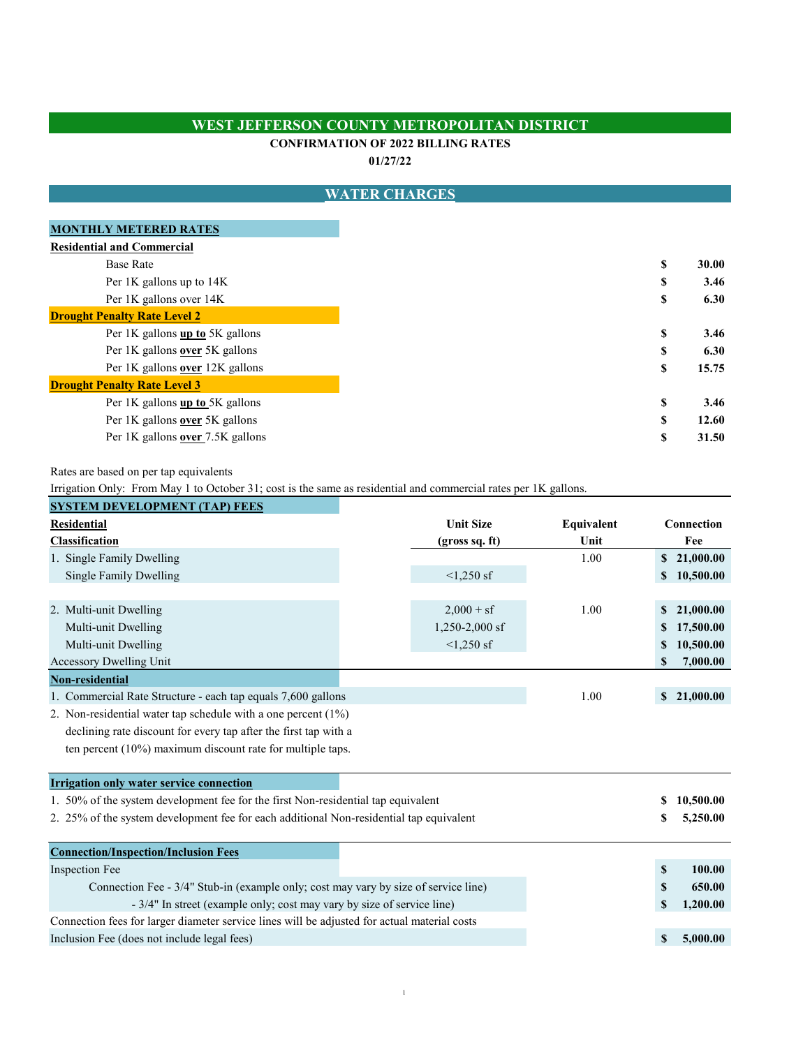### **WEST JEFFERSON COUNTY METROPOLITAN DISTRICT**

#### **CONFIRMATION OF 2022 BILLING RATES**

**01/27/22**

#### **\$ 30.00 \$ 3.46 \$ 6.30** Per 1K gallons **up to** 5K gallons **\$** 3.46 Per 1K gallons **over** 5K gallons **\$ 6.30** Per 1K gallons **over** 12K gallons **\$ 15.75** Per 1K gallons **up to** 5K gallons **\$ 3.46** Per 1K gallons **over** 5K gallons **\$ 12.60** Per 1K gallons **over** 7.5K gallons **\$ 31.50 Residential and Commercial** Per 1K gallons over 14K Per 1K gallons up to 14K Base Rate **MONTHLY METERED RATES Drought Penalty Rate Level 2 Drought Penalty Rate Level 3 WATER CHARGES**

Rates are based on per tap equivalents

Irrigation Only: From May 1 to October 31; cost is the same as residential and commercial rates per 1K gallons.

| <b>SYSTEM DEVELOPMENT (TAP) FEES</b>                                                         |                  |            |            |             |
|----------------------------------------------------------------------------------------------|------------------|------------|------------|-------------|
| <b>Residential</b>                                                                           | <b>Unit Size</b> | Equivalent | Connection |             |
| <b>Classification</b>                                                                        | (gross sq. ft)   | Unit       |            | Fee         |
| 1. Single Family Dwelling                                                                    |                  | 1.00       |            | \$21,000.00 |
| Single Family Dwelling                                                                       | $<1,250$ sf      |            | \$         | 10,500.00   |
|                                                                                              |                  |            |            |             |
| 2. Multi-unit Dwelling                                                                       | $2,000 + sf$     | 1.00       | \$         | 21,000.00   |
| Multi-unit Dwelling                                                                          | $1,250-2,000$ sf |            |            | 17,500.00   |
| Multi-unit Dwelling                                                                          | $\leq 1,250$ sf  |            | \$         | 10,500.00   |
| Accessory Dwelling Unit                                                                      |                  |            | \$         | 7,000.00    |
| Non-residential                                                                              |                  |            |            |             |
| 1. Commercial Rate Structure - each tap equals 7,600 gallons                                 |                  | 1.00       |            | \$21,000.00 |
| 2. Non-residential water tap schedule with a one percent $(1\%)$                             |                  |            |            |             |
| declining rate discount for every tap after the first tap with a                             |                  |            |            |             |
| ten percent $(10\%)$ maximum discount rate for multiple taps.                                |                  |            |            |             |
| <b>Irrigation only water service connection</b>                                              |                  |            |            |             |
| 1. 50% of the system development fee for the first Non-residential tap equivalent            |                  |            | \$         | 10,500.00   |
| 2. 25% of the system development fee for each additional Non-residential tap equivalent      |                  |            | S          | 5,250.00    |
|                                                                                              |                  |            |            |             |
| <b>Connection/Inspection/Inclusion Fees</b>                                                  |                  |            |            |             |
| <b>Inspection Fee</b>                                                                        |                  |            | \$         | 100.00      |
| Connection Fee - 3/4" Stub-in (example only; cost may vary by size of service line)          |                  |            | \$         | 650.00      |
| - 3/4" In street (example only; cost may vary by size of service line)                       |                  |            | \$         | 1,200.00    |
| Connection fees for larger diameter service lines will be adjusted for actual material costs |                  |            |            |             |
| Inclusion Fee (does not include legal fees)                                                  |                  |            | \$         | 5,000.00    |